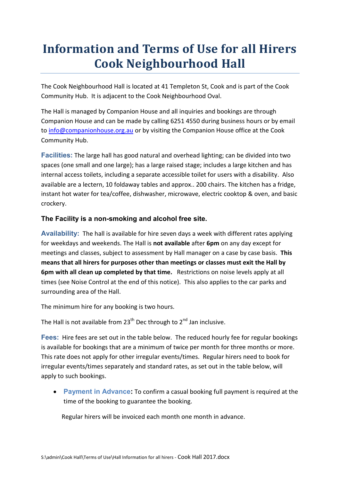# **Information and Terms of Use for all Hirers Cook Neighbourhood Hall**

The Cook Neighbourhood Hall is located at 41 Templeton St, Cook and is part of the Cook Community Hub. It is adjacent to the Cook Neighbourhood Oval.

The Hall is managed by Companion House and all inquiries and bookings are through Companion House and can be made by calling 6251 4550 during business hours or by email to [info@companionhouse.org.au](mailto:info@companionhouse.org.au) or by visiting the Companion House office at the Cook Community Hub.

**Facilities:** The large hall has good natural and overhead lighting; can be divided into two spaces (one small and one large); has a large raised stage; includes a large kitchen and has internal access toilets, including a separate accessible toilet for users with a disability. Also available are a lectern, 10 foldaway tables and approx.. 200 chairs. The kitchen has a fridge, instant hot water for tea/coffee, dishwasher, microwave, electric cooktop & oven, and basic crockery.

#### **The Facility is a non-smoking and alcohol free site.**

**Availability:** The hall is available for hire seven days a week with different rates applying for weekdays and weekends. The Hall is **not available** after **6pm** on any day except for meetings and classes, subject to assessment by Hall manager on a case by case basis. **This means that all hirers for purposes other than meetings or classes must exit the Hall by 6pm with all clean up completed by that time.** Restrictions on noise levels apply at all times (see Noise Control at the end of this notice). This also applies to the car parks and surrounding area of the Hall.

The minimum hire for any booking is two hours.

The Hall is not available from 23<sup>th</sup> Dec through to 2<sup>nd</sup> Jan inclusive.

**Fees:** Hire fees are set out in the table below. The reduced hourly fee for regular bookings is available for bookings that are a minimum of twice per month for three months or more. This rate does not apply for other irregular events/times. Regular hirers need to book for irregular events/times separately and standard rates, as set out in the table below, will apply to such bookings.

 **Payment in Advance:** To confirm a casual booking full payment is required at the time of the booking to guarantee the booking.

Regular hirers will be invoiced each month one month in advance.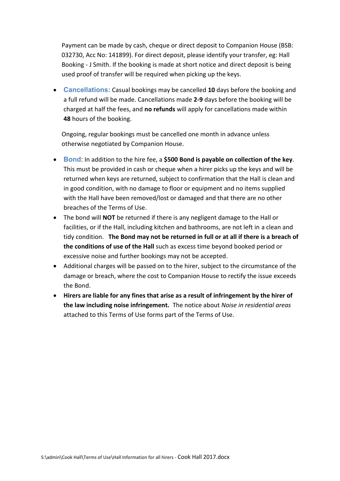Payment can be made by cash, cheque or direct deposit to Companion House (BSB: 032730, Acc No: 141899). For direct deposit, please identify your transfer, eg: Hall Booking - J Smith. If the booking is made at short notice and direct deposit is being used proof of transfer will be required when picking up the keys.

 **Cancellations:** Casual bookings may be cancelled **10** days before the booking and a full refund will be made. Cancellations made **2-9** days before the booking will be charged at half the fees, and **no refunds** will apply for cancellations made within **48** hours of the booking.

Ongoing, regular bookings must be cancelled one month in advance unless otherwise negotiated by Companion House.

- **Bond**: In addition to the hire fee, a **\$500 Bond is payable on collection of the key**. This must be provided in cash or cheque when a hirer picks up the keys and will be returned when keys are returned, subject to confirmation that the Hall is clean and in good condition, with no damage to floor or equipment and no items supplied with the Hall have been removed/lost or damaged and that there are no other breaches of the Terms of Use.
- The bond will **NOT** be returned if there is any negligent damage to the Hall or facilities, or if the Hall, including kitchen and bathrooms, are not left in a clean and tidy condition. **The Bond may not be returned in full or at all if there is a breach of the conditions of use of the Hall** such as excess time beyond booked period or excessive noise and further bookings may not be accepted.
- Additional charges will be passed on to the hirer, subject to the circumstance of the damage or breach, where the cost to Companion House to rectify the issue exceeds the Bond.
- **Hirers are liable for any fines that arise as a result of infringement by the hirer of the law including noise infringement.** The notice about *Noise in residential areas* attached to this Terms of Use forms part of the Terms of Use.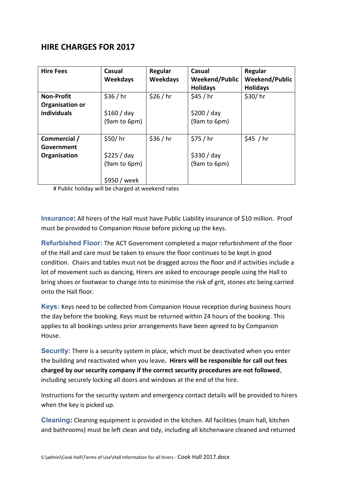### **HIRE CHARGES FOR 2017**

| <b>Hire Fees</b>   | Casual<br><b>Weekdays</b> | Regular<br><b>Weekdays</b> | Casual<br><b>Weekend/Public</b> | Regular<br><b>Weekend/Public</b> |
|--------------------|---------------------------|----------------------------|---------------------------------|----------------------------------|
|                    |                           |                            | <b>Holidays</b>                 | <b>Holidays</b>                  |
| <b>Non-Profit</b>  | \$36 / hr                 | \$26 / $hr$                | \$45 / hr                       | \$30/hr                          |
| Organisation or    |                           |                            |                                 |                                  |
| <b>individuals</b> | \$160 / day               |                            | \$200 / day                     |                                  |
|                    | (9am to 6pm)              |                            | (9am to 6pm)                    |                                  |
|                    |                           |                            |                                 |                                  |
| Commercial /       | \$50/hr                   | \$36 / hr                  | \$75/hr                         | \$45 / hr                        |
| Government         |                           |                            |                                 |                                  |
| Organisation       | \$225 / day               |                            | \$330 / day                     |                                  |
|                    | (9am to 6pm)              |                            | (9am to 6pm)                    |                                  |
|                    |                           |                            |                                 |                                  |
|                    | \$950 / week              |                            |                                 |                                  |

# Public holiday will be charged at weekend rates

**Insurance:** All hirers of the Hall must have Public Liability insurance of \$10 million. Proof must be provided to Companion House before picking up the keys.

**Refurbished Floor:** The ACT Government completed a major refurbishment of the floor of the Hall and care must be taken to ensure the floor continues to be kept in good condition. Chairs and tables must not be dragged across the floor and if activities include a lot of movement such as dancing, Hirers are asked to encourage people using the Hall to bring shoes or footwear to change into to minimise the risk of grit, stones etc being carried onto the Hall floor.

**Keys:** Keys need to be collected from Companion House reception during business hours the day before the booking. Keys must be returned within 24 hours of the booking. This applies to all bookings unless prior arrangements have been agreed to by Companion House.

**Security:** There is a security system in place, which must be deactivated when you enter the building and reactivated when you leave**. Hirers will be responsible for call out fees charged by our security company if the correct security procedures are not followed**, including securely locking all doors and windows at the end of the hire.

Instructions for the security system and emergency contact details will be provided to hirers when the key is picked up.

**Cleaning:** Cleaning equipment is provided in the kitchen. All facilities (main hall, kitchen and bathrooms) must be left clean and tidy, including all kitchenware cleaned and returned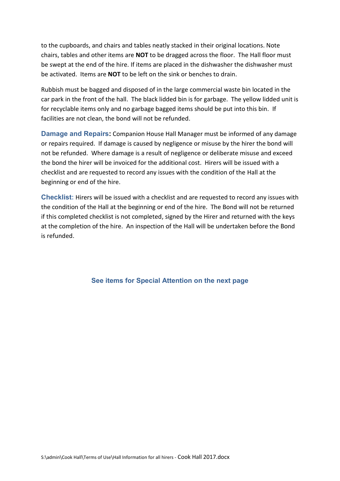to the cupboards, and chairs and tables neatly stacked in their original locations. Note chairs, tables and other items are **NOT** to be dragged across the floor. The Hall floor must be swept at the end of the hire. If items are placed in the dishwasher the dishwasher must be activated. Items are **NOT** to be left on the sink or benches to drain.

Rubbish must be bagged and disposed of in the large commercial waste bin located in the car park in the front of the hall. The black lidded bin is for garbage. The yellow lidded unit is for recyclable items only and no garbage bagged items should be put into this bin. If facilities are not clean, the bond will not be refunded.

**Damage and Repairs:** Companion House Hall Manager must be informed of any damage or repairs required. If damage is caused by negligence or misuse by the hirer the bond will not be refunded. Where damage is a result of negligence or deliberate misuse and exceed the bond the hirer will be invoiced for the additional cost. Hirers will be issued with a checklist and are requested to record any issues with the condition of the Hall at the beginning or end of the hire.

**Checklist:** Hirers will be issued with a checklist and are requested to record any issues with the condition of the Hall at the beginning or end of the hire. The Bond will not be returned if this completed checklist is not completed, signed by the Hirer and returned with the keys at the completion of the hire. An inspection of the Hall will be undertaken before the Bond is refunded.

**See items for Special Attention on the next page**